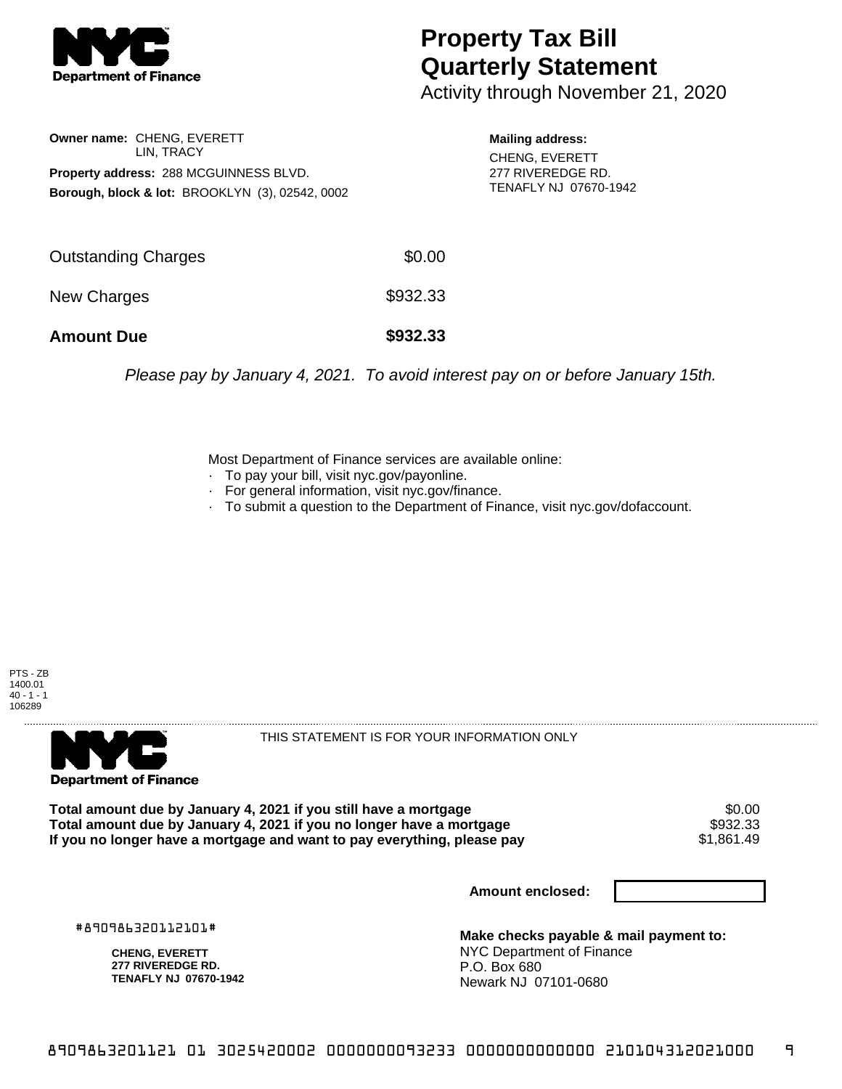

## **Property Tax Bill Quarterly Statement**

Activity through November 21, 2020

**Owner name:** CHENG, EVERETT LIN, TRACY **Property address:** 288 MCGUINNESS BLVD. **Borough, block & lot:** BROOKLYN (3), 02542, 0002

**Mailing address:** CHENG, EVERETT 277 RIVEREDGE RD. TENAFLY NJ 07670-1942

| <b>Amount Due</b>          | \$932.33 |
|----------------------------|----------|
| New Charges                | \$932.33 |
| <b>Outstanding Charges</b> | \$0.00   |

Please pay by January 4, 2021. To avoid interest pay on or before January 15th.

Most Department of Finance services are available online:

- · To pay your bill, visit nyc.gov/payonline.
- For general information, visit nyc.gov/finance.
- · To submit a question to the Department of Finance, visit nyc.gov/dofaccount.





THIS STATEMENT IS FOR YOUR INFORMATION ONLY

Total amount due by January 4, 2021 if you still have a mortgage \$0.00<br>Total amount due by January 4, 2021 if you no longer have a mortgage \$932.33 **Total amount due by January 4, 2021 if you no longer have a mortgage \$932.33**<br>If you no longer have a mortgage and want to pay everything, please pay \$1.861.49 If you no longer have a mortgage and want to pay everything, please pay

**Amount enclosed:**

#890986320112101#

**CHENG, EVERETT 277 RIVEREDGE RD. TENAFLY NJ 07670-1942**

**Make checks payable & mail payment to:** NYC Department of Finance P.O. Box 680 Newark NJ 07101-0680